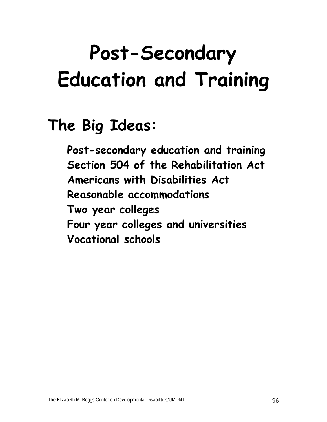# **Post-Secondary Education and Training**

## **The Big Ideas:**

**Post-secondary education and training Section 504 of the Rehabilitation Act Americans with Disabilities Act Reasonable accommodations Two year colleges Four year colleges and universities Vocational schools**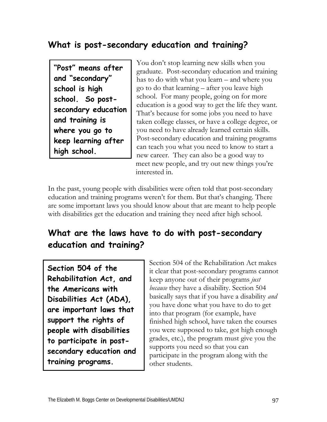#### **What is post-secondary education and training?**

**"Post" means after and "secondary" school is high school. So postsecondary education and training is where you go to keep learning after high school.** 

You don't stop learning new skills when you graduate. Post-secondary education and training has to do with what you learn – and where you go to do that learning – after you leave high school. For many people, going on for more education is a good way to get the life they want. That's because for some jobs you need to have taken college classes, or have a college degree, or you need to have already learned certain skills. Post-secondary education and training programs can teach you what you need to know to start a new career. They can also be a good way to meet new people, and try out new things you're interested in.

In the past, young people with disabilities were often told that post-secondary education and training programs weren't for them. But that's changing. There are some important laws you should know about that are meant to help people with disabilities get the education and training they need after high school.

#### **What are the laws have to do with post-secondary education and training?**

**Section 504 of the Rehabilitation Act, and the Americans with Disabilities Act (ADA), are important laws that support the rights of people with disabilities to participate in postsecondary education and training programs.** 

Section 504 of the Rehabilitation Act makes it clear that post-secondary programs cannot keep anyone out of their programs *just because* they have a disability. Section 504 basically says that if you have a disability *and* you have done what you have to do to get into that program (for example, have finished high school, have taken the courses you were supposed to take, got high enough grades, etc.), the program must give you the supports you need so that you can participate in the program along with the other students.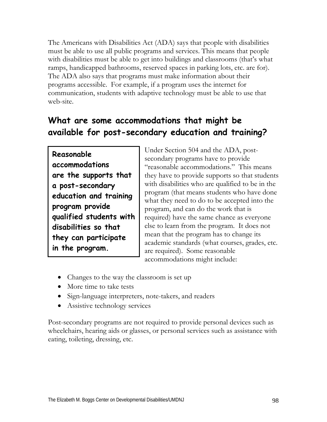The Americans with Disabilities Act (ADA) says that people with disabilities must be able to use all public programs and services. This means that people with disabilities must be able to get into buildings and classrooms (that's what ramps, handicapped bathrooms, reserved spaces in parking lots, etc. are for). The ADA also says that programs must make information about their programs accessible. For example, if a program uses the internet for communication, students with adaptive technology must be able to use that web-site.

#### **What are some accommodations that might be available for post-secondary education and training?**

**Reasonable accommodations are the supports that a post-secondary education and training program provide qualified students with disabilities so that they can participate in the program.** 

Under Section 504 and the ADA, postsecondary programs have to provide "reasonable accommodations." This means they have to provide supports so that students with disabilities who are qualified to be in the program (that means students who have done what they need to do to be accepted into the program, and can do the work that is required) have the same chance as everyone else to learn from the program. It does not mean that the program has to change its academic standards (what courses, grades, etc. are required). Some reasonable accommodations might include:

- Changes to the way the classroom is set up
- More time to take tests
- Sign-language interpreters, note-takers, and readers
- Assistive technology services

Post-secondary programs are not required to provide personal devices such as wheelchairs, hearing aids or glasses, or personal services such as assistance with eating, toileting, dressing, etc.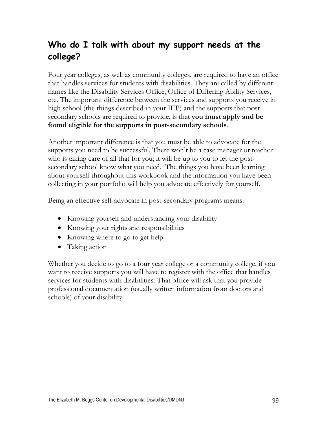#### **Who do I talk with about my support needs at the college?**

Four year colleges, as well as community colleges, are required to have an office that handles services for students with disabilities. They are called by different names like the Disability Services Office, Office of Differing Ability Services, etc. The important difference between the services and supports you receive in high school (the things described in your IEP) and the supports that postsecondary schools are required to provide, is that **you must apply and be found eligible for the supports in post-secondary schools**.

Another important difference is that you must be able to advocate for the supports you need to be successful. There won't be a case manager or teacher who is taking care of all that for you; it will be up to you to let the postsecondary school know what you need. The things you have been learning about yourself throughout this workbook and the information you have been collecting in your portfolio will help you advocate effectively for yourself.

Being an effective self-advocate in post-secondary programs means:

- Knowing yourself and understanding your disability
- Knowing your rights and responsibilities
- Knowing where to go to get help
- Taking action

Whether you decide to go to a four year college or a community college, if you want to receive supports you will have to register with the office that handles services for students with disabilities. That office will ask that you provide professional documentation (usually written information from doctors and schools) of your disability.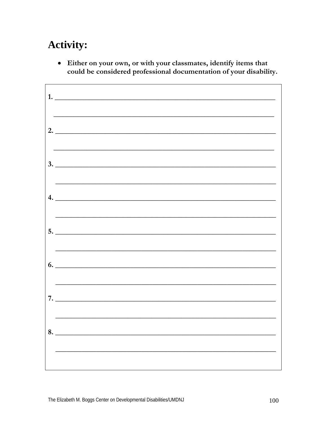## **Activity:**

• Either on your own, or with your classmates, identify items that could be considered professional documentation of your disability.

| 1.                            |
|-------------------------------|
| 2. $\overline{\phantom{a}}$   |
| $3.$ $\overline{\phantom{a}}$ |
| 4.                            |
| $5.$ $\overline{\phantom{a}}$ |
| $\sim$ 0.                     |
| 7.                            |
| 8.                            |
|                               |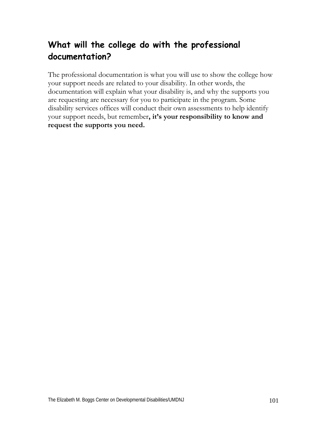#### **What will the college do with the professional documentation?**

The professional documentation is what you will use to show the college how your support needs are related to your disability. In other words, the documentation will explain what your disability is, and why the supports you are requesting are necessary for you to participate in the program. Some disability services offices will conduct their own assessments to help identify your support needs, but remember**, it's your responsibility to know and request the supports you need.**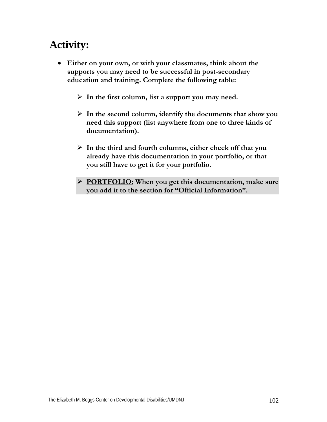### **Activity:**

• **Either on your own, or with your classmates, think about the supports you may need to be successful in post-secondary education and training. Complete the following table:** 

¾ **In the first column, list a support you may need.** 

- ¾ **In the second column, identify the documents that show you need this support (list anywhere from one to three kinds of documentation).**
- ¾ **In the third and fourth columns, either check off that you already have this documentation in your portfolio, or that you still have to get it for your portfolio.**
- ¾ **PORTFOLIO: When you get this documentation, make sure you add it to the section for "Official Information".**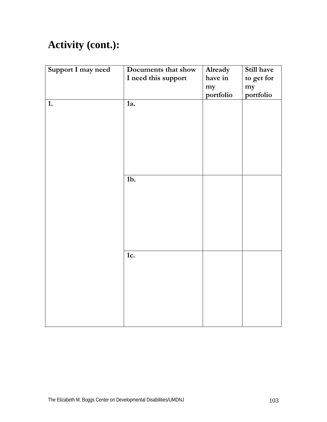## **Activity (cont.):**

| Support I may need | Documents that show<br>I need this support | Already<br>have in<br>my<br>portfolio | Still have<br>to get for<br>my<br>portfolio |
|--------------------|--------------------------------------------|---------------------------------------|---------------------------------------------|
| 1.                 | 1a.                                        |                                       |                                             |
|                    | $1b$ .                                     |                                       |                                             |
|                    | 1c.                                        |                                       |                                             |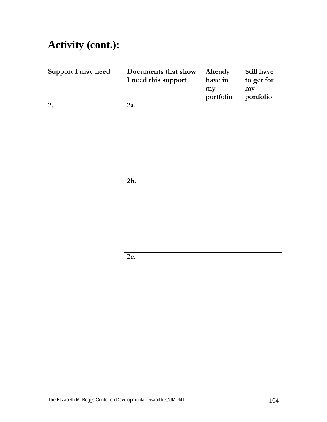## **Activity (cont.):**

| Support I may need | Documents that show<br>I need this support | Already<br>have in<br>my<br>portfolio | Still have<br>to get for<br>my<br>portfolio |
|--------------------|--------------------------------------------|---------------------------------------|---------------------------------------------|
| 2.                 | 2a.                                        |                                       |                                             |
|                    | 2b.                                        |                                       |                                             |
|                    | 2c.                                        |                                       |                                             |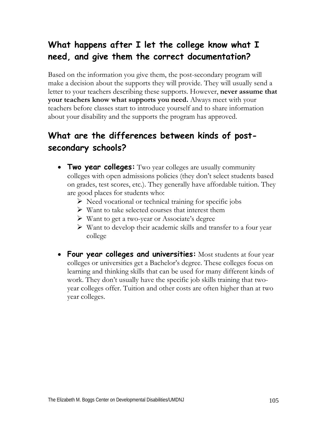#### **What happens after I let the college know what I need, and give them the correct documentation?**

Based on the information you give them, the post-secondary program will make a decision about the supports they will provide. They will usually send a letter to your teachers describing these supports. However, **never assume that your teachers know what supports you need.** Always meet with your teachers before classes start to introduce yourself and to share information about your disability and the supports the program has approved.

#### **What are the differences between kinds of postsecondary schools?**

- **Two year colleges:** Two year colleges are usually community colleges with open admissions policies (they don't select students based on grades, test scores, etc.). They generally have affordable tuition. They are good places for students who:
	- $\triangleright$  Need vocational or technical training for specific jobs
	- $\triangleright$  Want to take selected courses that interest them
	- $\triangleright$  Want to get a two-year or Associate's degree
	- $\triangleright$  Want to develop their academic skills and transfer to a four year college
- **Four year colleges and universities:** Most students at four year colleges or universities get a Bachelor's degree. These colleges focus on learning and thinking skills that can be used for many different kinds of work. They don't usually have the specific job skills training that twoyear colleges offer. Tuition and other costs are often higher than at two year colleges.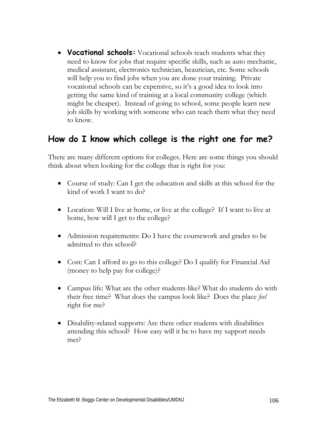• **Vocational schools:** Vocational schools teach students what they need to know for jobs that require specific skills, such as auto mechanic, medical assistant, electronics technician, beautician, etc. Some schools will help you to find jobs when you are done your training. Private vocational schools can be expensive, so it's a good idea to look into getting the same kind of training at a local community college (which might be cheaper). Instead of going to school, some people learn new job skills by working with someone who can teach them what they need to know.

#### **How do I know which college is the right one for me?**

There are many different options for colleges. Here are some things you should think about when looking for the college that is right for you:

- Course of study: Can I get the education and skills at this school for the kind of work I want to do?
- Location: Will I live at home, or live at the college? If I want to live at home, how will I get to the college?
- Admission requirements: Do I have the coursework and grades to be admitted to this school?
- Cost: Can I afford to go to this college? Do I qualify for Financial Aid (money to help pay for college)?
- Campus life: What are the other students like? What do students do with their free time? What does the campus look like? Does the place *feel* right for me?
- Disability-related supports: Are there other students with disabilities attending this school? How easy will it be to have my support needs met?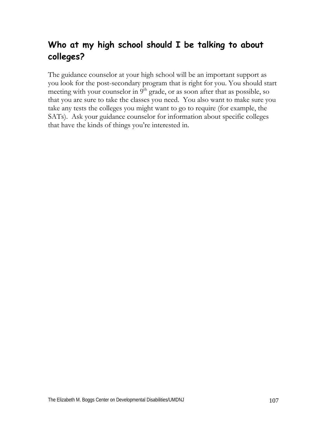#### **Who at my high school should I be talking to about colleges?**

The guidance counselor at your high school will be an important support as you look for the post-secondary program that is right for you. You should start meeting with your counselor in  $9<sup>th</sup>$  grade, or as soon after that as possible, so that you are sure to take the classes you need. You also want to make sure you take any tests the colleges you might want to go to require (for example, the SATs). Ask your guidance counselor for information about specific colleges that have the kinds of things you're interested in.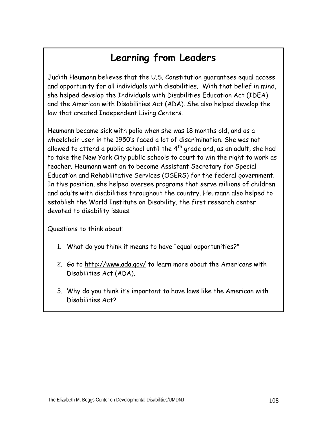#### **Learning from Leaders**

Judith Heumann believes that the U.S. Constitution guarantees equal access and opportunity for all individuals with disabilities. With that belief in mind, she helped develop the Individuals with Disabilities Education Act (IDEA) and the American with Disabilities Act (ADA). She also helped develop the law that created Independent Living Centers.

Heumann became sick with polio when she was 18 months old, and as a wheelchair user in the 1950's faced a lot of discrimination. She was not allowed to attend a public school until the 4<sup>th</sup> grade and, as an adult, she had to take the New York City public schools to court to win the right to work as teacher. Heumann went on to become Assistant Secretary for Special Education and Rehabilitative Services (OSERS) for the federal government. In this position, she helped oversee programs that serve millions of children and adults with disabilities throughout the country. Heumann also helped to establish the World Institute on Disability, the first research center devoted to disability issues.

Questions to think about:

- 1. What do you think it means to have "equal opportunities?"
- 2. Go to http://www.ada.gov/ to learn more about the Americans with Disabilities Act (ADA).
- 3. Why do you think it's important to have laws like the American with Disabilities Act?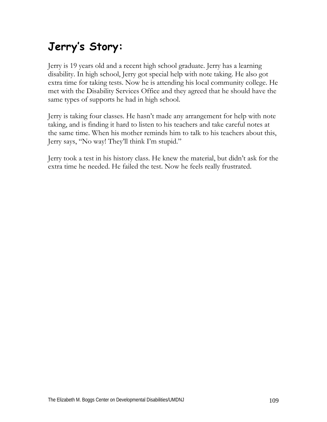## **Jerry's Story:**

Jerry is 19 years old and a recent high school graduate. Jerry has a learning disability. In high school, Jerry got special help with note taking. He also got extra time for taking tests. Now he is attending his local community college. He met with the Disability Services Office and they agreed that he should have the same types of supports he had in high school.

Jerry is taking four classes. He hasn't made any arrangement for help with note taking, and is finding it hard to listen to his teachers and take careful notes at the same time. When his mother reminds him to talk to his teachers about this, Jerry says, "No way! They'll think I'm stupid."

Jerry took a test in his history class. He knew the material, but didn't ask for the extra time he needed. He failed the test. Now he feels really frustrated.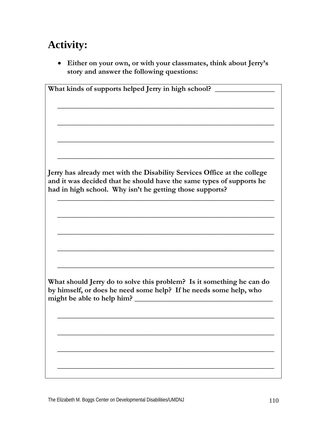## **Activity:**

• **Either on your own, or with your classmates, think about Jerry's story and answer the following questions:** 

| What kinds of supports helped Jerry in high school?                      |
|--------------------------------------------------------------------------|
|                                                                          |
|                                                                          |
|                                                                          |
|                                                                          |
|                                                                          |
|                                                                          |
|                                                                          |
|                                                                          |
|                                                                          |
| Jerry has already met with the Disability Services Office at the college |
| and it was decided that he should have the same types of supports he     |
| had in high school. Why isn't he getting those supports?                 |
|                                                                          |
|                                                                          |
|                                                                          |
|                                                                          |
|                                                                          |
|                                                                          |
|                                                                          |
|                                                                          |
|                                                                          |
|                                                                          |
| What should Jerry do to solve this problem? Is it something he can do    |
| by himself, or does he need some help? If he needs some help, who        |
| might be able to help him?                                               |
|                                                                          |
|                                                                          |
|                                                                          |
|                                                                          |
|                                                                          |
|                                                                          |
|                                                                          |
|                                                                          |
|                                                                          |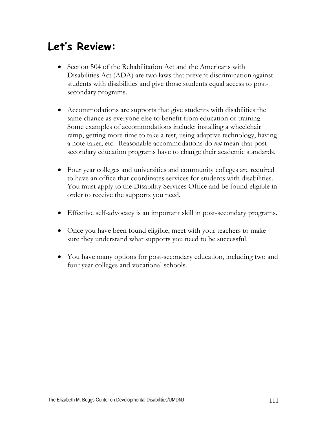## **Let's Review:**

- Section 504 of the Rehabilitation Act and the Americans with Disabilities Act (ADA) are two laws that prevent discrimination against students with disabilities and give those students equal access to postsecondary programs.
- Accommodations are supports that give students with disabilities the same chance as everyone else to benefit from education or training. Some examples of accommodations include: installing a wheelchair ramp, getting more time to take a test, using adaptive technology, having a note taker, etc. Reasonable accommodations do *not* mean that postsecondary education programs have to change their academic standards.
- Four year colleges and universities and community colleges are required to have an office that coordinates services for students with disabilities. You must apply to the Disability Services Office and be found eligible in order to receive the supports you need.
- Effective self-advocacy is an important skill in post-secondary programs.
- Once you have been found eligible, meet with your teachers to make sure they understand what supports you need to be successful.
- You have many options for post-secondary education, including two and four year colleges and vocational schools.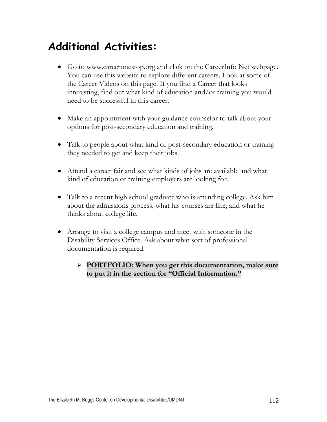## **Additional Activities:**

- Go to www.careeronestop.org and click on the CareerInfo Net webpage. You can use this website to explore different careers. Look at some of the Career Videos on this page. If you find a Career that looks interesting, find out what kind of education and/or training you would need to be successful in this career.
- Make an appointment with your guidance counselor to talk about your options for post-secondary education and training.
- Talk to people about what kind of post-secondary education or training they needed to get and keep their jobs.
- Attend a career fair and see what kinds of jobs are available and what kind of education or training employers are looking for.
- Talk to a recent high school graduate who is attending college. Ask him about the admissions process, what his courses are like, and what he thinks about college life.
- Arrange to visit a college campus and meet with someone in the Disability Services Office. Ask about what sort of professional documentation is required.
	- ¾ **PORTFOLIO: When you get this documentation, make sure to put it in the section for "Official Information."**